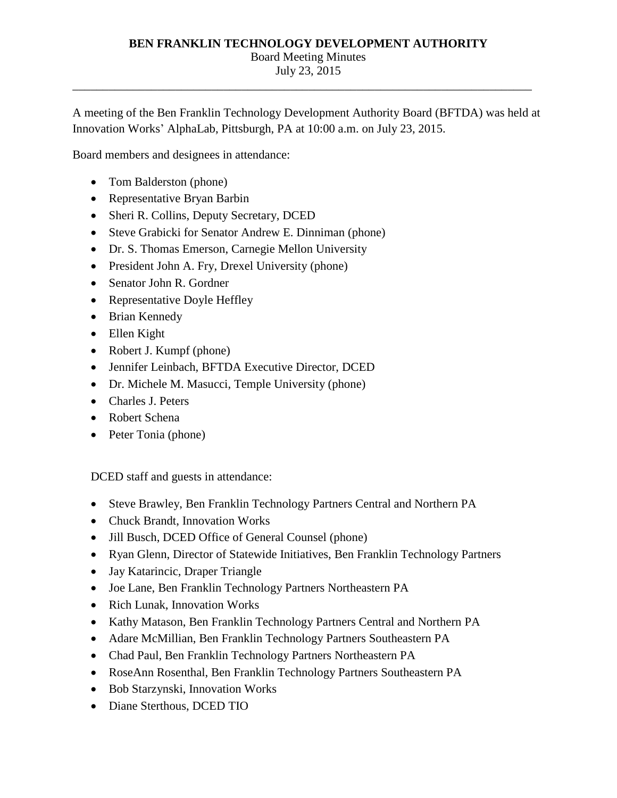## **BEN FRANKLIN TECHNOLOGY DEVELOPMENT AUTHORITY** Board Meeting Minutes July 23, 2015

\_\_\_\_\_\_\_\_\_\_\_\_\_\_\_\_\_\_\_\_\_\_\_\_\_\_\_\_\_\_\_\_\_\_\_\_\_\_\_\_\_\_\_\_\_\_\_\_\_\_\_\_\_\_\_\_\_\_\_\_\_\_\_\_\_\_\_\_\_\_\_\_\_\_\_\_

A meeting of the Ben Franklin Technology Development Authority Board (BFTDA) was held at Innovation Works' AlphaLab, Pittsburgh, PA at 10:00 a.m. on July 23, 2015.

Board members and designees in attendance:

- Tom Balderston (phone)
- Representative Bryan Barbin
- Sheri R. Collins, Deputy Secretary, DCED
- Steve Grabicki for Senator Andrew E. Dinniman (phone)
- Dr. S. Thomas Emerson, Carnegie Mellon University
- President John A. Fry, Drexel University (phone)
- Senator John R. Gordner
- Representative Doyle Heffley
- Brian Kennedy
- Ellen Kight
- Robert J. Kumpf (phone)
- Jennifer Leinbach, BFTDA Executive Director, DCED
- Dr. Michele M. Masucci, Temple University (phone)
- Charles J. Peters
- Robert Schena
- Peter Tonia (phone)

DCED staff and guests in attendance:

- Steve Brawley, Ben Franklin Technology Partners Central and Northern PA
- Chuck Brandt, Innovation Works
- Jill Busch, DCED Office of General Counsel (phone)
- Ryan Glenn, Director of Statewide Initiatives, Ben Franklin Technology Partners
- Jay Katarincic, Draper Triangle
- Joe Lane, Ben Franklin Technology Partners Northeastern PA
- Rich Lunak, Innovation Works
- Kathy Matason, Ben Franklin Technology Partners Central and Northern PA
- Adare McMillian, Ben Franklin Technology Partners Southeastern PA
- Chad Paul, Ben Franklin Technology Partners Northeastern PA
- RoseAnn Rosenthal, Ben Franklin Technology Partners Southeastern PA
- Bob Starzynski, Innovation Works
- Diane Sterthous, DCED TIO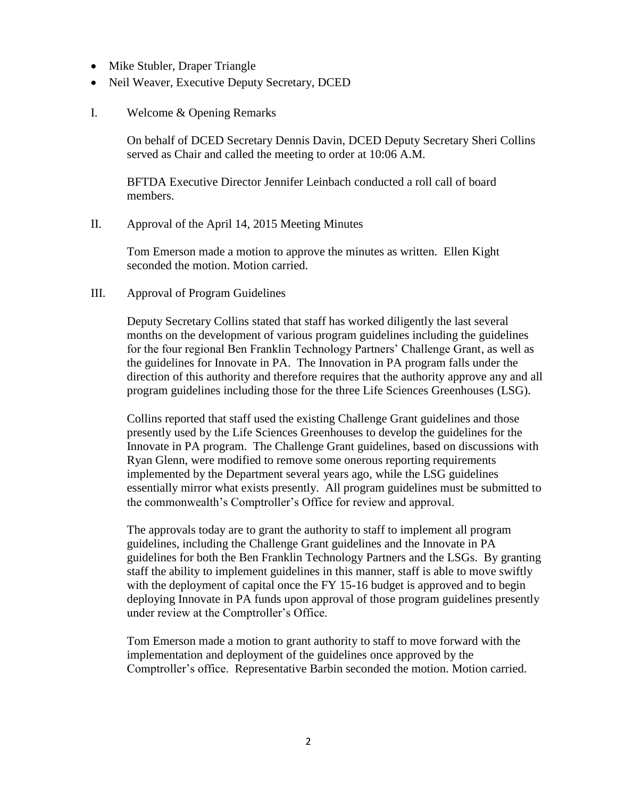- Mike Stubler, Draper Triangle
- Neil Weaver, Executive Deputy Secretary, DCED
- I. Welcome & Opening Remarks

On behalf of DCED Secretary Dennis Davin, DCED Deputy Secretary Sheri Collins served as Chair and called the meeting to order at 10:06 A.M.

BFTDA Executive Director Jennifer Leinbach conducted a roll call of board members.

II. Approval of the April 14, 2015 Meeting Minutes

Tom Emerson made a motion to approve the minutes as written. Ellen Kight seconded the motion. Motion carried.

III. Approval of Program Guidelines

Deputy Secretary Collins stated that staff has worked diligently the last several months on the development of various program guidelines including the guidelines for the four regional Ben Franklin Technology Partners' Challenge Grant, as well as the guidelines for Innovate in PA. The Innovation in PA program falls under the direction of this authority and therefore requires that the authority approve any and all program guidelines including those for the three Life Sciences Greenhouses (LSG).

Collins reported that staff used the existing Challenge Grant guidelines and those presently used by the Life Sciences Greenhouses to develop the guidelines for the Innovate in PA program. The Challenge Grant guidelines, based on discussions with Ryan Glenn, were modified to remove some onerous reporting requirements implemented by the Department several years ago, while the LSG guidelines essentially mirror what exists presently. All program guidelines must be submitted to the commonwealth's Comptroller's Office for review and approval.

The approvals today are to grant the authority to staff to implement all program guidelines, including the Challenge Grant guidelines and the Innovate in PA guidelines for both the Ben Franklin Technology Partners and the LSGs. By granting staff the ability to implement guidelines in this manner, staff is able to move swiftly with the deployment of capital once the FY 15-16 budget is approved and to begin deploying Innovate in PA funds upon approval of those program guidelines presently under review at the Comptroller's Office.

Tom Emerson made a motion to grant authority to staff to move forward with the implementation and deployment of the guidelines once approved by the Comptroller's office. Representative Barbin seconded the motion. Motion carried.